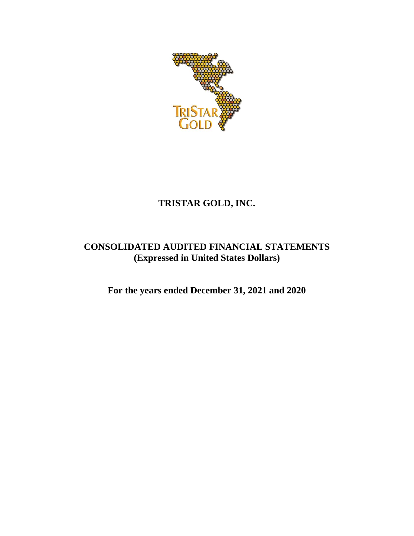

# **TRISTAR GOLD, INC.**

# **CONSOLIDATED AUDITED FINANCIAL STATEMENTS (Expressed in United States Dollars)**

**For the years ended December 31, 2021 and 2020**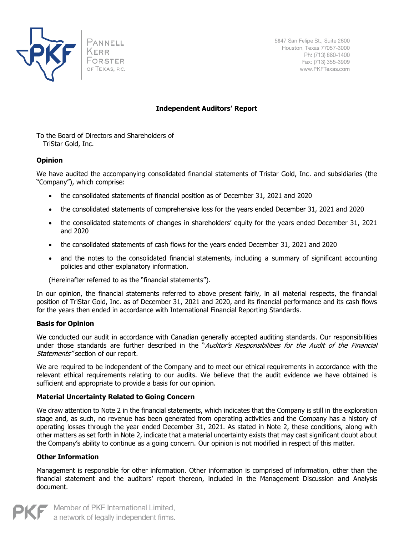

5847 San Felipe St., Suite 2600 Houston, Texas 77057-3000 Ph: (713) 860-1400 Fax: (713) 355-3909 www.PKFTexas.com

## **Independent Auditors' Report**

To the Board of Directors and Shareholders of TriStar Gold, Inc.

### **Opinion**

We have audited the accompanying consolidated financial statements of Tristar Gold, Inc. and subsidiaries (the "Company"), which comprise:

- the consolidated statements of financial position as of December 31, 2021 and 2020
- the consolidated statements of comprehensive loss for the years ended December 31, 2021 and 2020
- the consolidated statements of changes in shareholders' equity for the years ended December 31, 2021 and 2020
- the consolidated statements of cash flows for the years ended December 31, 2021 and 2020
- and the notes to the consolidated financial statements, including a summary of significant accounting policies and other explanatory information.

(Hereinafter referred to as the "financial statements").

In our opinion, the financial statements referred to above present fairly, in all material respects, the financial position of TriStar Gold, Inc. as of December 31, 2021 and 2020, and its financial performance and its cash flows for the years then ended in accordance with International Financial Reporting Standards.

### **Basis for Opinion**

We conducted our audit in accordance with Canadian generally accepted auditing standards. Our responsibilities under those standards are further described in the "Auditor's Responsibilities for the Audit of the Financial Statements" section of our report.

We are required to be independent of the Company and to meet our ethical requirements in accordance with the relevant ethical requirements relating to our audits. We believe that the audit evidence we have obtained is sufficient and appropriate to provide a basis for our opinion.

### **Material Uncertainty Related to Going Concern**

We draw attention to Note 2 in the financial statements, which indicates that the Company is still in the exploration stage and, as such, no revenue has been generated from operating activities and the Company has a history of operating losses through the year ended December 31, 2021. As stated in Note 2, these conditions, along with other matters as set forth in Note 2, indicate that a material uncertainty exists that may cast significant doubt about the Company's ability to continue as a going concern. Our opinion is not modified in respect of this matter.

### **Other Information**

Management is responsible for other information. Other information is comprised of information, other than the financial statement and the auditors' report thereon, included in the Management Discussion and Analysis document.

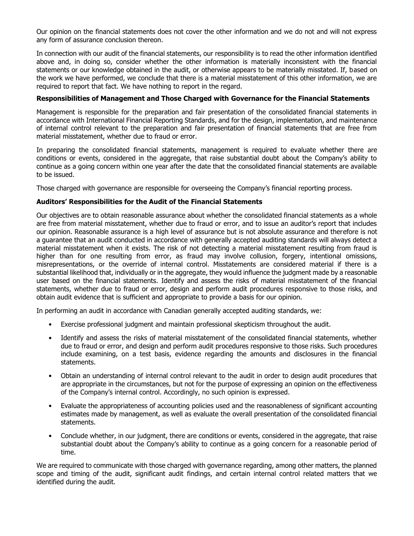Our opinion on the financial statements does not cover the other information and we do not and will not express any form of assurance conclusion thereon.

In connection with our audit of the financial statements, our responsibility is to read the other information identified above and, in doing so, consider whether the other information is materially inconsistent with the financial statements or our knowledge obtained in the audit, or otherwise appears to be materially misstated. If, based on the work we have performed, we conclude that there is a material misstatement of this other information, we are required to report that fact. We have nothing to report in the regard.

### **Responsibilities of Management and Those Charged with Governance for the Financial Statements**

Management is responsible for the preparation and fair presentation of the consolidated financial statements in accordance with International Financial Reporting Standards, and for the design, implementation, and maintenance of internal control relevant to the preparation and fair presentation of financial statements that are free from material misstatement, whether due to fraud or error.

In preparing the consolidated financial statements, management is required to evaluate whether there are conditions or events, considered in the aggregate, that raise substantial doubt about the Company's ability to continue as a going concern within one year after the date that the consolidated financial statements are available to be issued.

Those charged with governance are responsible for overseeing the Company's financial reporting process.

#### **Auditors' Responsibilities for the Audit of the Financial Statements**

Our objectives are to obtain reasonable assurance about whether the consolidated financial statements as a whole are free from material misstatement, whether due to fraud or error, and to issue an auditor's report that includes our opinion. Reasonable assurance is a high level of assurance but is not absolute assurance and therefore is not a guarantee that an audit conducted in accordance with generally accepted auditing standards will always detect a material misstatement when it exists. The risk of not detecting a material misstatement resulting from fraud is higher than for one resulting from error, as fraud may involve collusion, forgery, intentional omissions, misrepresentations, or the override of internal control. Misstatements are considered material if there is a substantial likelihood that, individually or in the aggregate, they would influence the judgment made by a reasonable user based on the financial statements. Identify and assess the risks of material misstatement of the financial statements, whether due to fraud or error, design and perform audit procedures responsive to those risks, and obtain audit evidence that is sufficient and appropriate to provide a basis for our opinion.

In performing an audit in accordance with Canadian generally accepted auditing standards, we:

- Exercise professional judgment and maintain professional skepticism throughout the audit.
- Identify and assess the risks of material misstatement of the consolidated financial statements, whether due to fraud or error, and design and perform audit procedures responsive to those risks. Such procedures include examining, on a test basis, evidence regarding the amounts and disclosures in the financial statements.
- Obtain an understanding of internal control relevant to the audit in order to design audit procedures that are appropriate in the circumstances, but not for the purpose of expressing an opinion on the effectiveness of the Company's internal control. Accordingly, no such opinion is expressed.
- Evaluate the appropriateness of accounting policies used and the reasonableness of significant accounting estimates made by management, as well as evaluate the overall presentation of the consolidated financial statements.
- Conclude whether, in our judgment, there are conditions or events, considered in the aggregate, that raise substantial doubt about the Company's ability to continue as a going concern for a reasonable period of time.

We are required to communicate with those charged with governance regarding, among other matters, the planned scope and timing of the audit, significant audit findings, and certain internal control related matters that we identified during the audit.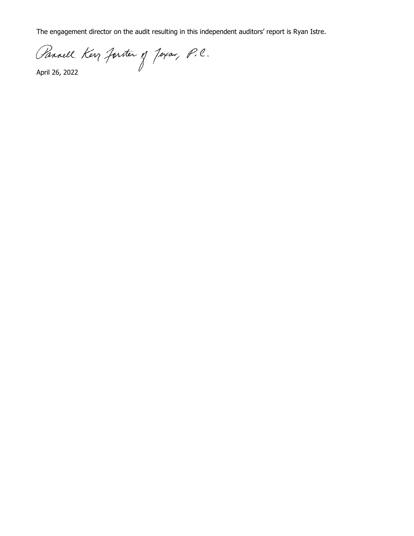The engagement director on the audit resulting in this independent auditors' report is Ryan Istre.

Pannell Kerz Jariter of Jexa, P.C.<br>April 26, 2022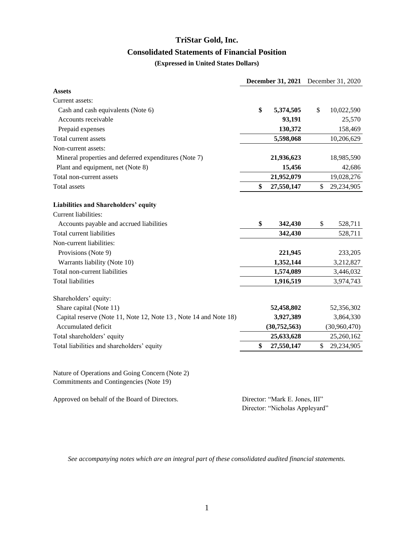## **TriStar Gold, Inc. Consolidated Statements of Financial Position (Expressed in United States Dollars)**

|                                                                  | <b>December 31, 2021</b> December 31, 2020 |                  |
|------------------------------------------------------------------|--------------------------------------------|------------------|
| <b>Assets</b>                                                    |                                            |                  |
| Current assets:                                                  |                                            |                  |
| Cash and cash equivalents (Note 6)                               | \$<br>5,374,505                            | \$<br>10,022,590 |
| Accounts receivable                                              | 93,191                                     | 25,570           |
| Prepaid expenses                                                 | 130,372                                    | 158,469          |
| Total current assets                                             | 5,598,068                                  | 10,206,629       |
| Non-current assets:                                              |                                            |                  |
| Mineral properties and deferred expenditures (Note 7)            | 21,936,623                                 | 18,985,590       |
| Plant and equipment, net (Note 8)                                | 15,456                                     | 42,686           |
| Total non-current assets                                         | 21,952,079                                 | 19,028,276       |
| <b>Total assets</b>                                              | \$<br>27,550,147                           | \$<br>29,234,905 |
| Liabilities and Shareholders' equity                             |                                            |                  |
| Current liabilities:                                             |                                            |                  |
| Accounts payable and accrued liabilities                         | \$<br>342,430                              | \$<br>528,711    |
| Total current liabilities                                        | 342,430                                    | 528,711          |
| Non-current liabilities:                                         |                                            |                  |
| Provisions (Note 9)                                              | 221,945                                    | 233,205          |
| Warrants liability (Note 10)                                     | 1,352,144                                  | 3,212,827        |
| Total non-current liabilities                                    | 1,574,089                                  | 3,446,032        |
| <b>Total liabilities</b>                                         | 1,916,519                                  | 3,974,743        |
| Shareholders' equity:                                            |                                            |                  |
| Share capital (Note 11)                                          | 52,458,802                                 | 52,356,302       |
| Capital reserve (Note 11, Note 12, Note 13, Note 14 and Note 18) | 3,927,389                                  | 3,864,330        |
| Accumulated deficit                                              | (30, 752, 563)                             | (30,960,470)     |
| Total shareholders' equity                                       | 25,633,628                                 | 25,260,162       |
| Total liabilities and shareholders' equity                       | \$<br>27,550,147                           | \$<br>29,234,905 |

Nature of Operations and Going Concern (Note 2) Commitments and Contingencies (Note 19)

Approved on behalf of the Board of Directors. Director: "Mark E. Jones, III"

Director: "Nicholas Appleyard"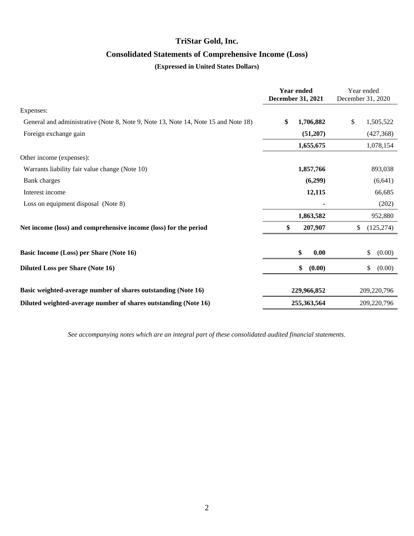## **Consolidated Statements of Comprehensive Income (Loss)**

## **(Expressed in United States Dollars)**

|                                                                                    | <b>Year ended</b><br>December 31, 2021 | Year ended<br>December 31, 2020 |  |  |
|------------------------------------------------------------------------------------|----------------------------------------|---------------------------------|--|--|
| Expenses:                                                                          |                                        |                                 |  |  |
| General and administrative (Note 8, Note 9, Note 13, Note 14, Note 15 and Note 18) | \$<br>1,706,882                        | \$<br>1,505,522                 |  |  |
| Foreign exchange gain                                                              | (51,207)                               | (427,368)                       |  |  |
|                                                                                    | 1,655,675                              | 1,078,154                       |  |  |
| Other income (expenses):                                                           |                                        |                                 |  |  |
| Warrants liability fair value change (Note 10)                                     | 1,857,766                              | 893,038                         |  |  |
| Bank charges                                                                       | (6,299)                                | (6,641)                         |  |  |
| Interest income                                                                    | 12,115                                 | 66,685                          |  |  |
| Loss on equipment disposal (Note 8)                                                |                                        | (202)                           |  |  |
|                                                                                    | 1,863,582                              | 952,880                         |  |  |
| Net income (loss) and comprehensive income (loss) for the period                   | 207,907<br>\$                          | \$<br>(125, 274)                |  |  |
| <b>Basic Income (Loss) per Share (Note 16)</b>                                     | \$<br>0.00                             | \$<br>(0.00)                    |  |  |
| Diluted Loss per Share (Note 16)                                                   | \$<br>(0.00)                           | \$<br>(0.00)                    |  |  |
| Basic weighted-average number of shares outstanding (Note 16)                      | 229,966,852                            | 209,220,796                     |  |  |
| Diluted weighted-average number of shares outstanding (Note 16)                    | 255,363,564                            | 209,220,796                     |  |  |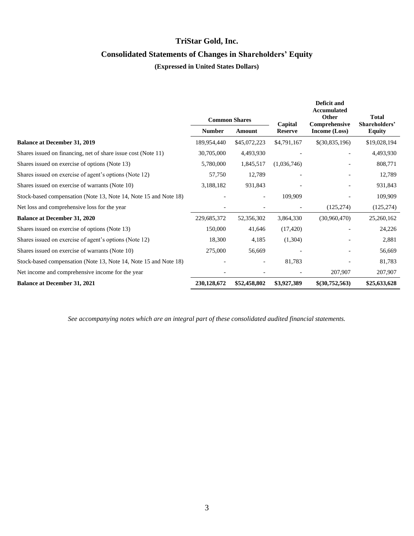## **Consolidated Statements of Changes in Shareholders' Equity**

## **(Expressed in United States Dollars)**

|                                                                  |                      |                          |                | Deficit and<br><b>Accumulated</b> |                               |
|------------------------------------------------------------------|----------------------|--------------------------|----------------|-----------------------------------|-------------------------------|
|                                                                  | <b>Common Shares</b> |                          | Capital        | Other<br>Comprehensive            | <b>Total</b><br>Shareholders' |
|                                                                  | <b>Number</b>        | Amount                   | <b>Reserve</b> | <b>Income</b> (Loss)              | <b>Equity</b>                 |
| <b>Balance at December 31, 2019</b>                              | 189,954,440          | \$45,072,223             | \$4,791,167    | \$(30,835,196)                    | \$19,028,194                  |
| Shares issued on financing, net of share issue cost (Note 11)    | 30,705,000           | 4,493,930                |                |                                   | 4,493,930                     |
| Shares issued on exercise of options (Note 13)                   | 5,780,000            | 1,845,517                | (1,036,746)    |                                   | 808,771                       |
| Shares issued on exercise of agent's options (Note 12)           | 57,750               | 12,789                   |                |                                   | 12,789                        |
| Shares issued on exercise of warrants (Note 10)                  | 3,188,182            | 931,843                  |                |                                   | 931,843                       |
| Stock-based compensation (Note 13, Note 14, Note 15 and Note 18) |                      | $\overline{\phantom{a}}$ | 109,909        |                                   | 109,909                       |
| Net loss and comprehensive loss for the year                     |                      |                          |                | (125, 274)                        | (125, 274)                    |
| <b>Balance at December 31, 2020</b>                              | 229,685,372          | 52,356,302               | 3,864,330      | (30,960,470)                      | 25,260,162                    |
| Shares issued on exercise of options (Note 13)                   | 150,000              | 41,646                   | (17, 420)      |                                   | 24,226                        |
| Shares issued on exercise of agent's options (Note 12)           | 18,300               | 4,185                    | (1,304)        |                                   | 2,881                         |
| Shares issued on exercise of warrants (Note 10)                  | 275,000              | 56,669                   |                |                                   | 56,669                        |
| Stock-based compensation (Note 13, Note 14, Note 15 and Note 18) |                      |                          | 81,783         |                                   | 81,783                        |
| Net income and comprehensive income for the year                 |                      |                          |                | 207,907                           | 207,907                       |
| <b>Balance at December 31, 2021</b>                              | 230,128,672          | \$52,458,802             | \$3,927,389    | \$(30,752,563)                    | \$25,633,628                  |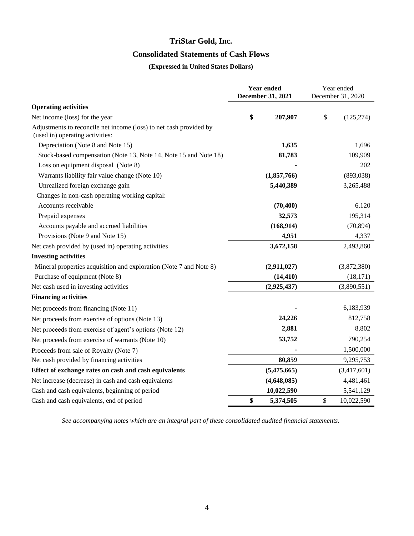## **Consolidated Statements of Cash Flows**

#### **(Expressed in United States Dollars)**

|                                                                                                       | <b>Year ended</b><br>December 31, 2021 |            | Year ended<br>December 31, 2020 |             |
|-------------------------------------------------------------------------------------------------------|----------------------------------------|------------|---------------------------------|-------------|
| <b>Operating activities</b>                                                                           |                                        |            |                                 |             |
| Net income (loss) for the year                                                                        | \$                                     | 207,907    | \$                              | (125, 274)  |
| Adjustments to reconcile net income (loss) to net cash provided by<br>(used in) operating activities: |                                        |            |                                 |             |
| Depreciation (Note 8 and Note 15)                                                                     |                                        | 1,635      |                                 | 1,696       |
| Stock-based compensation (Note 13, Note 14, Note 15 and Note 18)                                      |                                        | 81,783     |                                 | 109,909     |
| Loss on equipment disposal (Note 8)                                                                   |                                        |            |                                 | 202         |
| Warrants liability fair value change (Note 10)                                                        | (1,857,766)                            |            |                                 | (893,038)   |
| Unrealized foreign exchange gain                                                                      |                                        | 5,440,389  |                                 | 3,265,488   |
| Changes in non-cash operating working capital:                                                        |                                        |            |                                 |             |
| Accounts receivable                                                                                   |                                        | (70, 400)  |                                 | 6,120       |
| Prepaid expenses                                                                                      |                                        | 32,573     |                                 | 195,314     |
| Accounts payable and accrued liabilities                                                              |                                        | (168, 914) |                                 | (70, 894)   |
| Provisions (Note 9 and Note 15)                                                                       |                                        | 4,951      |                                 | 4,337       |
| Net cash provided by (used in) operating activities                                                   |                                        | 3,672,158  |                                 | 2,493,860   |
| <b>Investing activities</b>                                                                           |                                        |            |                                 |             |
| Mineral properties acquisition and exploration (Note 7 and Note 8)                                    | (2,911,027)                            |            |                                 | (3,872,380) |
| Purchase of equipment (Note 8)                                                                        |                                        | (14, 410)  |                                 | (18, 171)   |
| Net cash used in investing activities                                                                 | (2,925,437)                            |            |                                 | (3,890,551) |
| <b>Financing activities</b>                                                                           |                                        |            |                                 |             |
| Net proceeds from financing (Note 11)                                                                 |                                        |            |                                 | 6,183,939   |
| Net proceeds from exercise of options (Note 13)                                                       |                                        | 24,226     |                                 | 812,758     |
| Net proceeds from exercise of agent's options (Note 12)                                               |                                        | 2,881      |                                 | 8,802       |
| Net proceeds from exercise of warrants (Note 10)                                                      |                                        | 53,752     |                                 | 790,254     |
| Proceeds from sale of Royalty (Note 7)                                                                |                                        |            |                                 | 1,500,000   |
| Net cash provided by financing activities                                                             |                                        | 80,859     |                                 | 9,295,753   |
| Effect of exchange rates on cash and cash equivalents                                                 | (5,475,665)                            |            |                                 | (3,417,601) |
| Net increase (decrease) in cash and cash equivalents                                                  | (4,648,085)                            |            |                                 | 4,481,461   |
| Cash and cash equivalents, beginning of period                                                        | 10,022,590                             |            |                                 | 5,541,129   |
| Cash and cash equivalents, end of period                                                              | \$                                     | 5,374,505  | \$                              | 10,022,590  |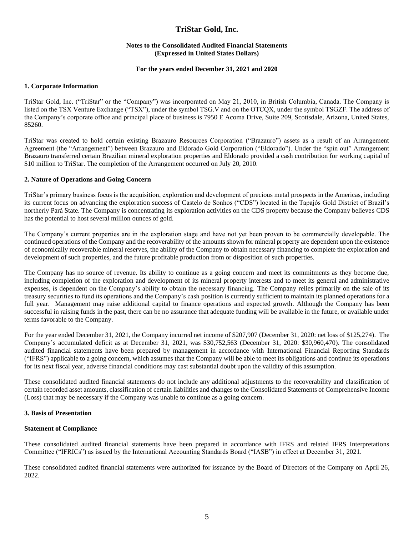#### **Notes to the Consolidated Audited Financial Statements (Expressed in United States Dollars)**

#### **For the years ended December 31, 2021 and 2020**

#### **1. Corporate Information**

TriStar Gold, Inc. ("TriStar" or the "Company") was incorporated on May 21, 2010, in British Columbia, Canada. The Company is listed on the TSX Venture Exchange ("TSX"), under the symbol TSG.V and on the OTCQX, under the symbol TSGZF. The address of the Company's corporate office and principal place of business is 7950 E Acoma Drive, Suite 209, Scottsdale, Arizona, United States, 85260.

TriStar was created to hold certain existing Brazauro Resources Corporation ("Brazauro") assets as a result of an Arrangement Agreement (the "Arrangement") between Brazauro and Eldorado Gold Corporation ("Eldorado"). Under the "spin out" Arrangement Brazauro transferred certain Brazilian mineral exploration properties and Eldorado provided a cash contribution for working capital of \$10 million to TriStar. The completion of the Arrangement occurred on July 20, 2010.

#### **2. Nature of Operations and Going Concern**

TriStar's primary business focus is the acquisition, exploration and development of precious metal prospects in the Americas, including its current focus on advancing the exploration success of Castelo de Sonhos ("CDS") located in the Tapajós Gold District of Brazil's northerly Pará State. The Company is concentrating its exploration activities on the CDS property because the Company believes CDS has the potential to host several million ounces of gold.

The Company's current properties are in the exploration stage and have not yet been proven to be commercially developable. The continued operations of the Company and the recoverability of the amounts shown for mineral property are dependent upon the existence of economically recoverable mineral reserves, the ability of the Company to obtain necessary financing to complete the exploration and development of such properties, and the future profitable production from or disposition of such properties.

The Company has no source of revenue. Its ability to continue as a going concern and meet its commitments as they become due, including completion of the exploration and development of its mineral property interests and to meet its general and administrative expenses, is dependent on the Company's ability to obtain the necessary financing. The Company relies primarily on the sale of its treasury securities to fund its operations and the Company's cash position is currently sufficient to maintain its planned operations for a full year. Management may raise additional capital to finance operations and expected growth. Although the Company has been successful in raising funds in the past, there can be no assurance that adequate funding will be available in the future, or available under terms favorable to the Company.

For the year ended December 31, 2021, the Company incurred net income of \$207,907 (December 31, 2020: net loss of \$125,274). The Company's accumulated deficit as at December 31, 2021, was \$30,752,563 (December 31, 2020: \$30,960,470). The consolidated audited financial statements have been prepared by management in accordance with International Financial Reporting Standards ("IFRS") applicable to a going concern, which assumes that the Company will be able to meet its obligations and continue its operations for its next fiscal year, adverse financial conditions may cast substantial doubt upon the validity of this assumption.

These consolidated audited financial statements do not include any additional adjustments to the recoverability and classification of certain recorded asset amounts, classification of certain liabilities and changes to the Consolidated Statements of Comprehensive Income (Loss) that may be necessary if the Company was unable to continue as a going concern.

#### **3. Basis of Presentation**

#### **Statement of Compliance**

These consolidated audited financial statements have been prepared in accordance with IFRS and related IFRS Interpretations Committee ("IFRICs") as issued by the International Accounting Standards Board ("IASB") in effect at December 31, 2021.

These consolidated audited financial statements were authorized for issuance by the Board of Directors of the Company on April 26, 2022.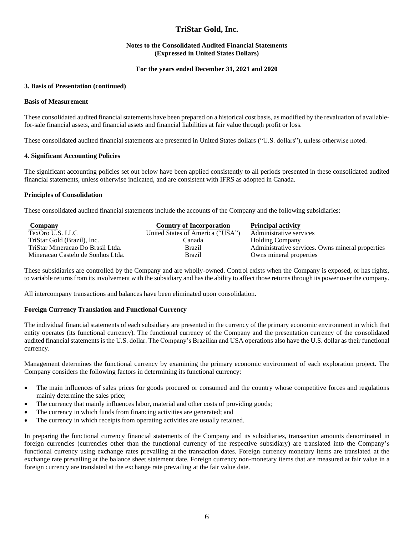#### **Notes to the Consolidated Audited Financial Statements (Expressed in United States Dollars)**

#### **For the years ended December 31, 2021 and 2020**

#### **3. Basis of Presentation (continued)**

#### **Basis of Measurement**

These consolidated audited financial statements have been prepared on a historical cost basis, as modified by the revaluation of availablefor-sale financial assets, and financial assets and financial liabilities at fair value through profit or loss.

These consolidated audited financial statements are presented in United States dollars ("U.S. dollars"), unless otherwise noted.

#### **4. Significant Accounting Policies**

The significant accounting policies set out below have been applied consistently to all periods presented in these consolidated audited financial statements, unless otherwise indicated, and are consistent with IFRS as adopted in Canada.

#### **Principles of Consolidation**

These consolidated audited financial statements include the accounts of the Company and the following subsidiaries:

| <b>Company</b>                    | <b>Country of Incorporation</b>  | <b>Principal activity</b>                        |
|-----------------------------------|----------------------------------|--------------------------------------------------|
| TexOro U.S. LLC                   | United States of America ("USA") | Administrative services                          |
| TriStar Gold (Brazil), Inc.       | Canada                           | <b>Holding Company</b>                           |
| TriStar Mineracao Do Brasil Ltda. | <b>Brazil</b>                    | Administrative services. Owns mineral properties |
| Mineracao Castelo de Sonhos Ltda. | <b>Brazil</b>                    | Owns mineral properties                          |

These subsidiaries are controlled by the Company and are wholly-owned. Control exists when the Company is exposed, or has rights, to variable returns from its involvement with the subsidiary and has the ability to affect those returns through its power over the company.

All intercompany transactions and balances have been eliminated upon consolidation.

#### **Foreign Currency Translation and Functional Currency**

The individual financial statements of each subsidiary are presented in the currency of the primary economic environment in which that entity operates (its functional currency). The functional currency of the Company and the presentation currency of the consolidated audited financial statements is the U.S. dollar. The Company's Brazilian and USA operations also have the U.S. dollar as their functional currency.

Management determines the functional currency by examining the primary economic environment of each exploration project. The Company considers the following factors in determining its functional currency:

- The main influences of sales prices for goods procured or consumed and the country whose competitive forces and regulations mainly determine the sales price;
- The currency that mainly influences labor, material and other costs of providing goods;
- The currency in which funds from financing activities are generated; and
- The currency in which receipts from operating activities are usually retained.

In preparing the functional currency financial statements of the Company and its subsidiaries, transaction amounts denominated in foreign currencies (currencies other than the functional currency of the respective subsidiary) are translated into the Company's functional currency using exchange rates prevailing at the transaction dates. Foreign currency monetary items are translated at the exchange rate prevailing at the balance sheet statement date. Foreign currency non-monetary items that are measured at fair value in a foreign currency are translated at the exchange rate prevailing at the fair value date.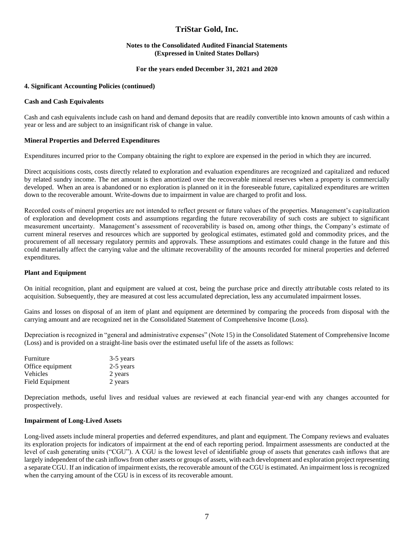#### **Notes to the Consolidated Audited Financial Statements (Expressed in United States Dollars)**

#### **For the years ended December 31, 2021 and 2020**

#### **4. Significant Accounting Policies (continued)**

#### **Cash and Cash Equivalents**

Cash and cash equivalents include cash on hand and demand deposits that are readily convertible into known amounts of cash within a year or less and are subject to an insignificant risk of change in value.

#### **Mineral Properties and Deferred Expenditures**

Expenditures incurred prior to the Company obtaining the right to explore are expensed in the period in which they are incurred.

Direct acquisitions costs, costs directly related to exploration and evaluation expenditures are recognized and capitalized and reduced by related sundry income. The net amount is then amortized over the recoverable mineral reserves when a property is commercially developed. When an area is abandoned or no exploration is planned on it in the foreseeable future, capitalized expenditures are written down to the recoverable amount. Write-downs due to impairment in value are charged to profit and loss.

Recorded costs of mineral properties are not intended to reflect present or future values of the properties. Management's capitalization of exploration and development costs and assumptions regarding the future recoverability of such costs are subject to significant measurement uncertainty. Management's assessment of recoverability is based on, among other things, the Company's estimate of current mineral reserves and resources which are supported by geological estimates, estimated gold and commodity prices, and the procurement of all necessary regulatory permits and approvals. These assumptions and estimates could change in the future and this could materially affect the carrying value and the ultimate recoverability of the amounts recorded for mineral properties and deferred expenditures.

#### **Plant and Equipment**

On initial recognition, plant and equipment are valued at cost, being the purchase price and directly attributable costs related to its acquisition. Subsequently, they are measured at cost less accumulated depreciation, less any accumulated impairment losses.

Gains and losses on disposal of an item of plant and equipment are determined by comparing the proceeds from disposal with the carrying amount and are recognized net in the Consolidated Statement of Comprehensive Income (Loss).

Depreciation is recognized in "general and administrative expenses" (Note 15) in the Consolidated Statement of Comprehensive Income (Loss) and is provided on a straight-line basis over the estimated useful life of the assets as follows:

| Furniture        | 3-5 years |
|------------------|-----------|
| Office equipment | 2-5 years |
| Vehicles         | 2 years   |
| Field Equipment  | 2 years   |

Depreciation methods, useful lives and residual values are reviewed at each financial year-end with any changes accounted for prospectively.

#### **Impairment of Long-Lived Assets**

Long-lived assets include mineral properties and deferred expenditures, and plant and equipment. The Company reviews and evaluates its exploration projects for indicators of impairment at the end of each reporting period. Impairment assessments are conducted at the level of cash generating units ("CGU"). A CGU is the lowest level of identifiable group of assets that generates cash inflows that are largely independent of the cash inflows from other assets or groups of assets, with each development and exploration project representing a separate CGU. If an indication of impairment exists, the recoverable amount of the CGU is estimated. An impairment loss is recognized when the carrying amount of the CGU is in excess of its recoverable amount.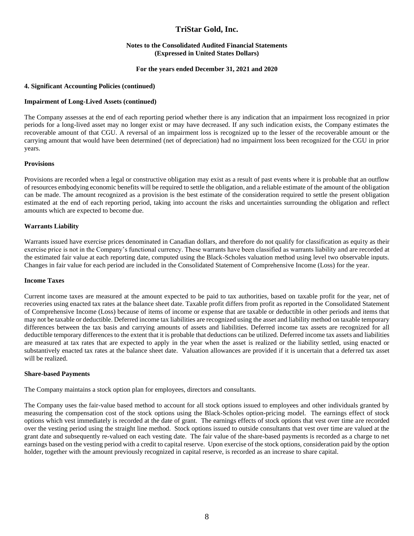#### **Notes to the Consolidated Audited Financial Statements (Expressed in United States Dollars)**

#### **For the years ended December 31, 2021 and 2020**

#### **4. Significant Accounting Policies (continued)**

#### **Impairment of Long-Lived Assets (continued)**

The Company assesses at the end of each reporting period whether there is any indication that an impairment loss recognized in prior periods for a long-lived asset may no longer exist or may have decreased. If any such indication exists, the Company estimates the recoverable amount of that CGU. A reversal of an impairment loss is recognized up to the lesser of the recoverable amount or the carrying amount that would have been determined (net of depreciation) had no impairment loss been recognized for the CGU in prior years.

#### **Provisions**

Provisions are recorded when a legal or constructive obligation may exist as a result of past events where it is probable that an outflow of resources embodying economic benefits will be required to settle the obligation, and a reliable estimate of the amount of the obligation can be made. The amount recognized as a provision is the best estimate of the consideration required to settle the present obligation estimated at the end of each reporting period, taking into account the risks and uncertainties surrounding the obligation and reflect amounts which are expected to become due.

#### **Warrants Liability**

Warrants issued have exercise prices denominated in Canadian dollars, and therefore do not qualify for classification as equity as their exercise price is not in the Company's functional currency. These warrants have been classified as warrants liability and are recorded at the estimated fair value at each reporting date, computed using the Black-Scholes valuation method using level two observable inputs. Changes in fair value for each period are included in the Consolidated Statement of Comprehensive Income (Loss) for the year.

#### **Income Taxes**

Current income taxes are measured at the amount expected to be paid to tax authorities, based on taxable profit for the year, net of recoveries using enacted tax rates at the balance sheet date. Taxable profit differs from profit as reported in the Consolidated Statement of Comprehensive Income (Loss) because of items of income or expense that are taxable or deductible in other periods and items that may not be taxable or deductible. Deferred income tax liabilities are recognized using the asset and liability method on taxable temporary differences between the tax basis and carrying amounts of assets and liabilities. Deferred income tax assets are recognized for all deductible temporary differences to the extent that it is probable that deductions can be utilized. Deferred income tax assets and liabilities are measured at tax rates that are expected to apply in the year when the asset is realized or the liability settled, using enacted or substantively enacted tax rates at the balance sheet date. Valuation allowances are provided if it is uncertain that a deferred tax asset will be realized.

#### **Share-based Payments**

The Company maintains a stock option plan for employees, directors and consultants.

The Company uses the fair-value based method to account for all stock options issued to employees and other individuals granted by measuring the compensation cost of the stock options using the Black-Scholes option-pricing model. The earnings effect of stock options which vest immediately is recorded at the date of grant. The earnings effects of stock options that vest over time are recorded over the vesting period using the straight line method. Stock options issued to outside consultants that vest over time are valued at the grant date and subsequently re-valued on each vesting date. The fair value of the share-based payments is recorded as a charge to net earnings based on the vesting period with a credit to capital reserve. Upon exercise of the stock options, consideration paid by the option holder, together with the amount previously recognized in capital reserve, is recorded as an increase to share capital.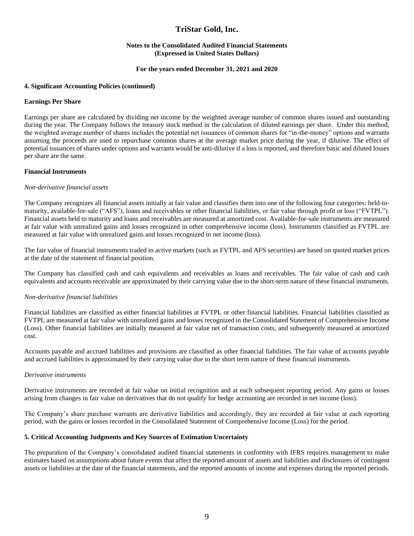#### **Notes to the Consolidated Audited Financial Statements (Expressed in United States Dollars)**

#### **For the years ended December 31, 2021 and 2020**

#### **4. Significant Accounting Policies (continued)**

#### **Earnings Per Share**

Earnings per share are calculated by dividing net income by the weighted average number of common shares issued and outstanding during the year. The Company follows the treasury stock method in the calculation of diluted earnings per share. Under this method, the weighted average number of shares includes the potential net issuances of common shares for "in-the-money" options and warrants assuming the proceeds are used to repurchase common shares at the average market price during the year, if dilutive. The effect of potential issuances of shares under options and warrants would be anti-dilutive if a loss is reported, and therefore basic and diluted losses per share are the same.

#### **Financial Instruments**

#### *Non*‐*derivative financial assets*

The Company recognizes all financial assets initially at fair value and classifies them into one of the following four categories: held-tomaturity, available-for-sale ("AFS"), loans and receivables or other financial liabilities, or fair value through profit or loss ("FVTPL"). Financial assets held to maturity and loans and receivables are measured at amortized cost. Available-for-sale instruments are measured at fair value with unrealized gains and losses recognized in other comprehensive income (loss). Instruments classified as FVTPL are measured at fair value with unrealized gains and losses recognized in net income (loss).

The fair value of financial instruments traded in active markets (such as FVTPL and AFS securities) are based on quoted market prices at the date of the statement of financial position.

The Company has classified cash and cash equivalents and receivables as loans and receivables. The fair value of cash and cash equivalents and accounts receivable are approximated by their carrying value due to the short-term nature of these financial instruments.

#### *Non*‐*derivative financial liabilities*

Financial liabilities are classified as either financial liabilities at FVTPL or other financial liabilities. Financial liabilities classified as FVTPL are measured at fair value with unrealized gains and losses recognized in the Consolidated Statement of Comprehensive Income (Loss). Other financial liabilities are initially measured at fair value net of transaction costs, and subsequently measured at amortized cost.

Accounts payable and accrued liabilities and provisions are classified as other financial liabilities. The fair value of accounts payable and accrued liabilities is approximated by their carrying value due to the short term nature of these financial instruments.

#### *Derivative instruments*

Derivative instruments are recorded at fair value on initial recognition and at each subsequent reporting period. Any gains or losses arising from changes in fair value on derivatives that do not qualify for hedge accounting are recorded in net income (loss).

The Company's share purchase warrants are derivative liabilities and accordingly, they are recorded at fair value at each reporting period, with the gains or losses recorded in the Consolidated Statement of Comprehensive Income (Loss) for the period.

#### **5. Critical Accounting Judgments and Key Sources of Estimation Uncertainty**

The preparation of the Company's consolidated audited financial statements in conformity with IFRS requires management to make estimates based on assumptions about future events that affect the reported amount of assets and liabilities and disclosures of contingent assets or liabilities at the date of the financial statements, and the reported amounts of income and expenses during the reported periods.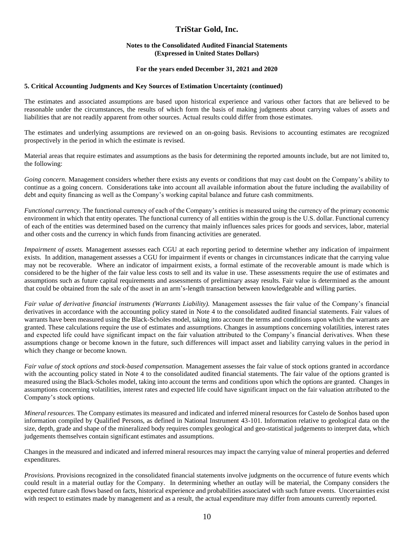#### **Notes to the Consolidated Audited Financial Statements (Expressed in United States Dollars)**

#### **For the years ended December 31, 2021 and 2020**

#### **5. Critical Accounting Judgments and Key Sources of Estimation Uncertainty (continued)**

The estimates and associated assumptions are based upon historical experience and various other factors that are believed to be reasonable under the circumstances, the results of which form the basis of making judgments about carrying values of assets and liabilities that are not readily apparent from other sources. Actual results could differ from those estimates.

The estimates and underlying assumptions are reviewed on an on-going basis. Revisions to accounting estimates are recognized prospectively in the period in which the estimate is revised.

Material areas that require estimates and assumptions as the basis for determining the reported amounts include, but are not limited to, the following:

*Going concern.* Management considers whether there exists any events or conditions that may cast doubt on the Company's ability to continue as a going concern. Considerations take into account all available information about the future including the availability of debt and equity financing as well as the Company's working capital balance and future cash commitments.

*Functional currency.* The functional currency of each of the Company's entities is measured using the currency of the primary economic environment in which that entity operates. The functional currency of all entities within the group is the U.S. dollar. Functional currency of each of the entities was determined based on the currency that mainly influences sales prices for goods and services, labor, material and other costs and the currency in which funds from financing activities are generated.

*Impairment of assets.* Management assesses each CGU at each reporting period to determine whether any indication of impairment exists. In addition, management assesses a CGU for impairment if events or changes in circumstances indicate that the carrying value may not be recoverable. Where an indicator of impairment exists, a formal estimate of the recoverable amount is made which is considered to be the higher of the fair value less costs to sell and its value in use. These assessments require the use of estimates and assumptions such as future capital requirements and assessments of preliminary assay results. Fair value is determined as the amount that could be obtained from the sale of the asset in an arm's-length transaction between knowledgeable and willing parties.

*Fair value of derivative financial instruments (Warrants Liability).* Management assesses the fair value of the Company's financial derivatives in accordance with the accounting policy stated in Note 4 to the consolidated audited financial statements. Fair values of warrants have been measured using the Black-Scholes model, taking into account the terms and conditions upon which the warrants are granted. These calculations require the use of estimates and assumptions. Changes in assumptions concerning volatilities, interest rates and expected life could have significant impact on the fair valuation attributed to the Company's financial derivatives. When these assumptions change or become known in the future, such differences will impact asset and liability carrying values in the period in which they change or become known.

*Fair value of stock options and stock-based compensation.* Management assesses the fair value of stock options granted in accordance with the accounting policy stated in Note 4 to the consolidated audited financial statements. The fair value of the options granted is measured using the Black-Scholes model, taking into account the terms and conditions upon which the options are granted. Changes in assumptions concerning volatilities, interest rates and expected life could have significant impact on the fair valuation attributed to the Company's stock options.

*Mineral resources.* The Company estimates its measured and indicated and inferred mineral resources for Castelo de Sonhos based upon information compiled by Qualified Persons, as defined in National Instrument 43-101. Information relative to geological data on the size, depth, grade and shape of the mineralized body requires complex geological and geo-statistical judgements to interpret data, which judgements themselves contain significant estimates and assumptions.

Changes in the measured and indicated and inferred mineral resources may impact the carrying value of mineral properties and deferred expenditures.

*Provisions.* Provisions recognized in the consolidated financial statements involve judgments on the occurrence of future events which could result in a material outlay for the Company. In determining whether an outlay will be material, the Company considers the expected future cash flows based on facts, historical experience and probabilities associated with such future events. Uncertainties exist with respect to estimates made by management and as a result, the actual expenditure may differ from amounts currently reported.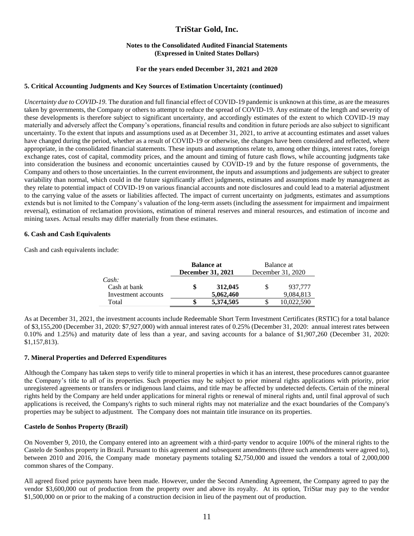#### **Notes to the Consolidated Audited Financial Statements (Expressed in United States Dollars)**

#### **For the years ended December 31, 2021 and 2020**

#### **5. Critical Accounting Judgments and Key Sources of Estimation Uncertainty (continued)**

*Uncertainty due to COVID-19.* The duration and full financial effect of COVID-19 pandemic is unknown at this time, as are the measures taken by governments, the Company or others to attempt to reduce the spread of COVID-19. Any estimate of the length and severity of these developments is therefore subject to significant uncertainty, and accordingly estimates of the extent to which COVID-19 may materially and adversely affect the Company's operations, financial results and condition in future periods are also subject to significant uncertainty. To the extent that inputs and assumptions used as at December 31, 2021, to arrive at accounting estimates and asset values have changed during the period, whether as a result of COVID-19 or otherwise, the changes have been considered and reflected, where appropriate, in the consolidated financial statements. These inputs and assumptions relate to, among other things, interest rates, foreign exchange rates, cost of capital, commodity prices, and the amount and timing of future cash flows, while accounting judgments take into consideration the business and economic uncertainties caused by COVID-19 and by the future response of governments, the Company and others to those uncertainties. In the current environment, the inputs and assumptions and judgements are subject to greater variability than normal, which could in the future significantly affect judgments, estimates and assumptions made by management as they relate to potential impact of COVID-19 on various financial accounts and note disclosures and could lead to a material adjustment to the carrying value of the assets or liabilities affected. The impact of current uncertainty on judgments, estimates and assumptions extends but is not limited to the Company's valuation of the long-term assets (including the assessment for impairment and impairment reversal), estimation of reclamation provisions, estimation of mineral reserves and mineral resources, and estimation of income and mining taxes. Actual results may differ materially from these estimates.

#### **6. Cash and Cash Equivalents**

Cash and cash equivalents include:

|                                              |   | <b>Balance at</b><br>December 31, 2021 | Balance at<br>December 31, 2020 |
|----------------------------------------------|---|----------------------------------------|---------------------------------|
| Cash:<br>Cash at bank<br>Investment accounts | S | 312,045<br>5,062,460                   | 937.777<br>9.084.813            |
| Total                                        |   | 5,374,505                              | 10,022,590                      |

As at December 31, 2021, the investment accounts include Redeemable Short Term Investment Certificates (RSTIC) for a total balance of \$3,155,200 (December 31, 2020: \$7,927,000) with annual interest rates of 0.25% (December 31, 2020: annual interest rates between 0.10% and 1.25%) and maturity date of less than a year, and saving accounts for a balance of \$1,907,260 (December 31, 2020: \$1,157,813).

#### **7. Mineral Properties and Deferred Expenditures**

Although the Company has taken steps to verify title to mineral properties in which it has an interest, these procedures cannot guarantee the Company's title to all of its properties. Such properties may be subject to prior mineral rights applications with priority, prior unregistered agreements or transfers or indigenous land claims, and title may be affected by undetected defects. Certain of the mineral rights held by the Company are held under applications for mineral rights or renewal of mineral rights and, until final approval of such applications is received, the Company's rights to such mineral rights may not materialize and the exact boundaries of the Company's properties may be subject to adjustment. The Company does not maintain title insurance on its properties.

#### **Castelo de Sonhos Property (Brazil)**

On November 9, 2010, the Company entered into an agreement with a third-party vendor to acquire 100% of the mineral rights to the Castelo de Sonhos property in Brazil. Pursuant to this agreement and subsequent amendments (three such amendments were agreed to), between 2010 and 2016, the Company made monetary payments totaling \$2,750,000 and issued the vendors a total of 2,000,000 common shares of the Company.

All agreed fixed price payments have been made. However, under the Second Amending Agreement, the Company agreed to pay the vendor \$3,600,000 out of production from the property over and above its royalty. At its option, TriStar may pay to the vendor \$1,500,000 on or prior to the making of a construction decision in lieu of the payment out of production.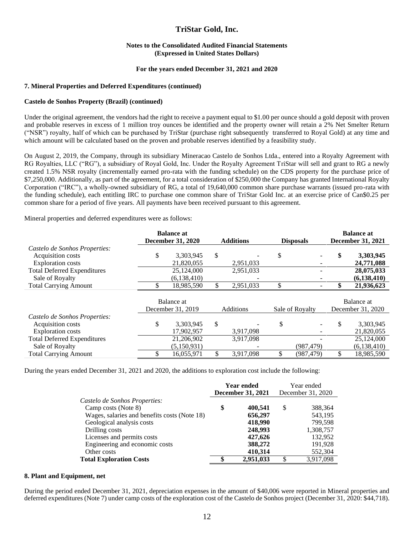#### **Notes to the Consolidated Audited Financial Statements (Expressed in United States Dollars)**

#### **For the years ended December 31, 2021 and 2020**

#### **7. Mineral Properties and Deferred Expenditures (continued)**

#### **Castelo de Sonhos Property (Brazil) (continued)**

Under the original agreement, the vendors had the right to receive a payment equal to \$1.00 per ounce should a gold deposit with proven and probable reserves in excess of 1 million troy ounces be identified and the property owner will retain a 2% Net Smelter Return ("NSR") royalty, half of which can be purchased by TriStar (purchase right subsequently transferred to Royal Gold) at any time and which amount will be calculated based on the proven and probable reserves identified by a feasibility study.

On August 2, 2019, the Company, through its subsidiary Mineracao Castelo de Sonhos Ltda., entered into a Royalty Agreement with RG Royalties, LLC ("RG"), a subsidiary of Royal Gold, Inc. Under the Royalty Agreement TriStar will sell and grant to RG a newly created 1.5% NSR royalty (incrementally earned pro-rata with the funding schedule) on the CDS property for the purchase price of \$7,250,000. Additionally, as part of the agreement, for a total consideration of \$250,000 the Company has granted International Royalty Corporation ("IRC"), a wholly-owned subsidiary of RG, a total of 19,640,000 common share purchase warrants (issued pro-rata with the funding schedule), each entitling IRC to purchase one common share of TriStar Gold Inc. at an exercise price of Can\$0.25 per common share for a period of five years. All payments have been received pursuant to this agreement.

Mineral properties and deferred expenditures were as follows:

|                                    | <b>Balance at</b><br><b>December 31, 2020</b> | <b>Additions</b> |        | <b>Disposals</b> | <b>Balance at</b><br><b>December 31, 2021</b> |
|------------------------------------|-----------------------------------------------|------------------|--------|------------------|-----------------------------------------------|
| Castelo de Sonhos Properties:      |                                               |                  |        |                  |                                               |
| Acquisition costs                  | \$<br>3,303,945                               | \$               | \$     |                  | \$<br>3,303,945                               |
| <b>Exploration</b> costs           | 21,820,055                                    | 2,951,033        |        |                  | 24,771,088                                    |
| <b>Total Deferred Expenditures</b> | 25,124,000                                    | 2,951,033        |        |                  | 28,075,033                                    |
| Sale of Royalty                    | (6,138,410)                                   |                  |        |                  | (6, 138, 410)                                 |
| <b>Total Carrying Amount</b>       | 18,985,590                                    | 2,951,033        | ሖ<br>Φ |                  | \$<br>21,936,623                              |
|                                    |                                               |                  |        |                  |                                               |
|                                    | Balance at                                    |                  |        |                  | Balance at                                    |
|                                    |                                               |                  |        |                  |                                               |
|                                    | December 31, 2019                             | <b>Additions</b> |        | Sale of Royalty  | December 31, 2020                             |
| Castelo de Sonhos Properties:      |                                               |                  |        |                  |                                               |
| Acquisition costs                  | \$<br>3,303,945                               | \$               | \$     |                  | \$<br>3,303,945                               |
| <b>Exploration</b> costs           | 17,902,957                                    | 3,917,098        |        |                  | 21,820,055                                    |
| <b>Total Deferred Expenditures</b> | 21.206.902                                    | 3,917,098        |        |                  | 25,124,000                                    |
| Sale of Royalty                    | (5,150,931)                                   |                  |        | (987, 479)       | (6, 138, 410)                                 |

During the years ended December 31, 2021 and 2020, the additions to exploration cost include the following:

|                                              | <b>Year ended</b>        |           | Year ended        |           |
|----------------------------------------------|--------------------------|-----------|-------------------|-----------|
|                                              | <b>December 31, 2021</b> |           | December 31, 2020 |           |
| Castelo de Sonhos Properties:                |                          |           |                   |           |
| Camp costs (Note 8)                          | \$                       | 400,541   | S                 | 388,364   |
| Wages, salaries and benefits costs (Note 18) |                          | 656,297   |                   | 543,195   |
| Geological analysis costs                    |                          | 418,990   |                   | 799,598   |
| Drilling costs                               |                          | 248,993   |                   | 1,308,757 |
| Licenses and permits costs                   |                          | 427,626   |                   | 132,952   |
| Engineering and economic costs               |                          | 388,272   |                   | 191,928   |
| Other costs                                  |                          | 410,314   |                   | 552,304   |
| <b>Total Exploration Costs</b>               | œ                        | 2,951,033 |                   | 3,917,098 |

#### **8. Plant and Equipment, net**

During the period ended December 31, 2021, depreciation expenses in the amount of \$40,006 were reported in Mineral properties and deferred expenditures (Note 7) under camp costs of the exploration cost of the Castelo de Sonhos project (December 31, 2020: \$44,718).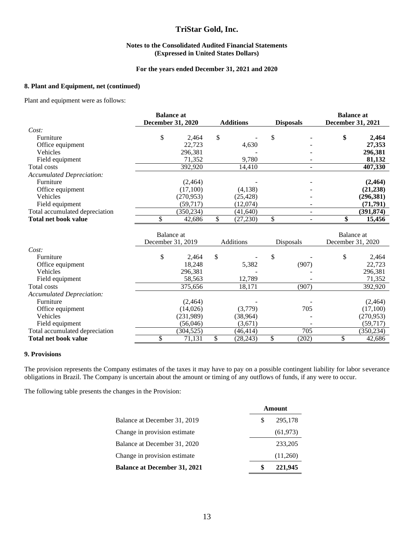#### **Notes to the Consolidated Audited Financial Statements (Expressed in United States Dollars)**

#### **For the years ended December 31, 2021 and 2020**

#### **8. Plant and Equipment, net (continued)**

Plant and equipment were as follows:

|                                               | <b>Balance</b> at |                   |                  |                          | <b>Balance</b> at |                   |
|-----------------------------------------------|-------------------|-------------------|------------------|--------------------------|-------------------|-------------------|
|                                               | December 31, 2020 |                   | <b>Additions</b> | <b>Disposals</b>         | December 31, 2021 |                   |
| Cost:                                         |                   |                   |                  |                          |                   |                   |
| Furniture                                     | \$                | 2,464             | \$               | \$                       | \$                | 2,464             |
| Office equipment                              |                   | 22,723            | 4,630            |                          |                   | 27,353            |
| Vehicles                                      |                   | 296,381           |                  |                          |                   | 296,381           |
| Field equipment                               |                   | 71.352            | 9,780            |                          |                   | 81,132            |
| <b>Total costs</b>                            |                   | 392,920           | 14,410           | $\blacksquare$           |                   | 407,330           |
| <b>Accumulated Depreciation:</b>              |                   |                   |                  |                          |                   |                   |
| Furniture                                     |                   | (2, 464)          |                  |                          |                   | (2, 464)          |
| Office equipment                              |                   | (17,100)          | (4,138)          |                          |                   | (21, 238)         |
| Vehicles                                      |                   | (270, 953)        | (25, 428)        |                          |                   | (296,381)         |
| Field equipment                               |                   | (59,717)          | (12,074)         |                          |                   | (71, 791)         |
| Total accumulated depreciation                |                   | (350, 234)        | (41, 640)        | $\overline{\phantom{a}}$ |                   | (391, 874)        |
| <b>Total net book value</b>                   | \$                | 42,686            | \$<br>(27, 230)  | \$<br>$\overline{a}$     | \$                | 15,456            |
|                                               |                   |                   |                  |                          |                   |                   |
|                                               | <b>Balance</b> at |                   |                  |                          | Balance at        |                   |
| Cost:                                         | December 31, 2019 |                   | Additions        | Disposals                | December 31, 2020 |                   |
| Furniture                                     | \$                |                   |                  |                          |                   | 2,464             |
|                                               |                   | 2,464             | \$               | \$                       | \$                |                   |
| Office equipment<br>Vehicles                  |                   | 18,248            | 5,382            | (907)                    |                   | 22,723            |
| Field equipment                               |                   | 296,381<br>58,563 |                  |                          |                   | 296,381<br>71,352 |
| <b>Total costs</b>                            |                   | 375,656           | 12,789<br>18,171 | (907)                    |                   | 392,920           |
|                                               |                   |                   |                  |                          |                   |                   |
| <b>Accumulated Depreciation:</b><br>Furniture |                   | (2,464)           |                  |                          |                   | (2,464)           |
|                                               |                   | (14,026)          | (3,779)          | 705                      |                   | (17,100)          |
| Office equipment<br>Vehicles                  |                   | (231,989)         | (38, 964)        |                          |                   | (270,953)         |
| Field equipment                               |                   | (56,046)          | (3,671)          |                          |                   | (59,717)          |
| Total accumulated depreciation                |                   | (304, 525)        | (46, 414)        | 705                      |                   | (350, 234)        |

#### **9. Provisions**

The provision represents the Company estimates of the taxes it may have to pay on a possible contingent liability for labor severance obligations in Brazil. The Company is uncertain about the amount or timing of any outflows of funds, if any were to occur.

The following table presents the changes in the Provision:

|                                     | Amount |           |
|-------------------------------------|--------|-----------|
| Balance at December 31, 2019        | S      | 295,178   |
| Change in provision estimate        |        | (61, 973) |
| Balance at December 31, 2020        |        | 233,205   |
| Change in provision estimate        |        | (11,260)  |
| <b>Balance at December 31, 2021</b> | S      | 221,945   |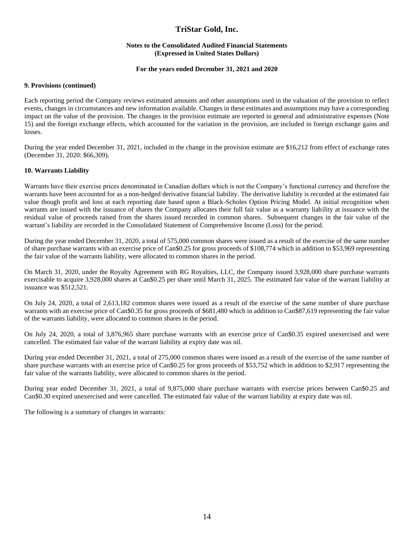#### **Notes to the Consolidated Audited Financial Statements (Expressed in United States Dollars)**

#### **For the years ended December 31, 2021 and 2020**

#### **9. Provisions (continued)**

Each reporting period the Company reviews estimated amounts and other assumptions used in the valuation of the provision to reflect events, changes in circumstances and new information available. Changes in these estimates and assumptions may have a corresponding impact on the value of the provision. The changes in the provision estimate are reported in general and administrative expenses (Note 15) and the foreign exchange effects, which accounted for the variation in the provision, are included in foreign exchange gains and losses.

During the year ended December 31, 2021, included in the change in the provision estimate are \$16,212 from effect of exchange rates (December 31, 2020: \$66,309).

#### **10. Warrants Liability**

Warrants have their exercise prices denominated in Canadian dollars which is not the Company's functional currency and therefore the warrants have been accounted for as a non-hedged derivative financial liability. The derivative liability is recorded at the estimated fair value though profit and loss at each reporting date based upon a Black-Scholes Option Pricing Model. At initial recognition when warrants are issued with the issuance of shares the Company allocates their full fair value as a warranty liability at issuance with the residual value of proceeds raised from the shares issued recorded in common shares. Subsequent changes in the fair value of the warrant's liability are recorded in the Consolidated Statement of Comprehensive Income (Loss) for the period.

During the year ended December 31, 2020, a total of 575,000 common shares were issued as a result of the exercise of the same number of share purchase warrants with an exercise price of Can\$0.25 for gross proceeds of \$108,774 which in addition to \$53,969 representing the fair value of the warrants liability, were allocated to common shares in the period.

On March 31, 2020, under the Royalty Agreement with RG Royalties, LLC, the Company issued 3,928,000 share purchase warrants exercisable to acquire 3,928,000 shares at Can\$0.25 per share until March 31, 2025. The estimated fair value of the warrant liability at issuance was \$512,521.

On July 24, 2020, a total of 2,613,182 common shares were issued as a result of the exercise of the same number of share purchase warrants with an exercise price of Can\$0.35 for gross proceeds of \$681,480 which in addition to Can\$87,619 representing the fair value of the warrants liability, were allocated to common shares in the period.

On July 24, 2020, a total of 3,876,965 share purchase warrants with an exercise price of Can\$0.35 expired unexercised and were cancelled. The estimated fair value of the warrant liability at expiry date was nil.

During year ended December 31, 2021, a total of 275,000 common shares were issued as a result of the exercise of the same number of share purchase warrants with an exercise price of Can\$0.25 for gross proceeds of \$53,752 which in addition to \$2,917 representing the fair value of the warrants liability, were allocated to common shares in the period.

During year ended December 31, 2021, a total of 9,875,000 share purchase warrants with exercise prices between Can\$0.25 and Can\$0.30 expired unexercised and were cancelled. The estimated fair value of the warrant liability at expiry date was nil.

The following is a summary of changes in warrants: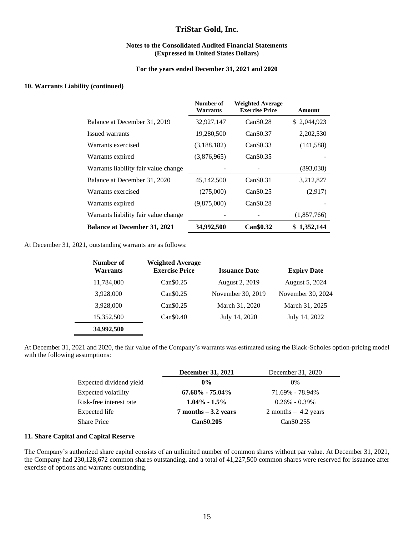#### **Notes to the Consolidated Audited Financial Statements (Expressed in United States Dollars)**

#### **For the years ended December 31, 2021 and 2020**

#### **10. Warrants Liability (continued)**

|                                      | Number of<br><b>Warrants</b> | <b>Weighted Average</b><br><b>Exercise Price</b> | Amount           |
|--------------------------------------|------------------------------|--------------------------------------------------|------------------|
| Balance at December 31, 2019         | 32,927,147                   | Can \$0.28                                       | \$2,044,923      |
| Issued warrants                      | 19,280,500                   | Can <sub>\$0.37</sub>                            | 2,202,530        |
| Warrants exercised                   | (3,188,182)                  | Can <sub>\$0.33</sub>                            | (141, 588)       |
| Warrants expired                     | (3,876,965)                  | $Can \$0.35$                                     |                  |
| Warrants liability fair value change |                              |                                                  | (893,038)        |
| Balance at December 31, 2020         | 45,142,500                   | Can \$0.31                                       | 3,212,827        |
| Warrants exercised                   | (275,000)                    | $Can \$0.25$                                     | (2,917)          |
| Warrants expired                     | (9,875,000)                  | Can \$0.28                                       |                  |
| Warrants liability fair value change |                              |                                                  | (1,857,766)      |
| <b>Balance at December 31, 2021</b>  | 34,992,500                   | Can\$0.32                                        | 1,352,144<br>SS. |

#### At December 31, 2021, outstanding warrants are as follows:

| Number of<br>Warrants | <b>Weighted Average</b><br><b>Exercise Price</b> | <b>Issuance Date</b> | <b>Expiry Date</b> |
|-----------------------|--------------------------------------------------|----------------------|--------------------|
| 11,784,000            | Can\$0.25                                        | August 2, 2019       | August 5, 2024     |
| 3,928,000             | Can <sub>\$0.25</sub>                            | November 30, 2019    | November 30, 2024  |
| 3,928,000             | Can <sub>\$0.25</sub>                            | March 31, 2020       | March 31, 2025     |
| 15,352,500            | Can\$0.40                                        | July 14, 2020        | July 14, 2022      |
| 34,992,500            |                                                  |                      |                    |

At December 31, 2021 and 2020, the fair value of the Company's warrants was estimated using the Black-Scholes option-pricing model with the following assumptions:

|                            | December 31, 2021       | December 31, 2020       |  |
|----------------------------|-------------------------|-------------------------|--|
| Expected dividend yield    | $0\%$                   | $0\%$                   |  |
| <b>Expected volatility</b> | $67.68\% - 75.04\%$     | 71.69% - 78.94%         |  |
| Risk-free interest rate    | $1.04\% - 1.5\%$        | $0.26\% - 0.39\%$       |  |
| Expected life              | $7$ months $-3.2$ years | $2$ months $-4.2$ years |  |
| <b>Share Price</b>         | Can\$0.205              | Can\$0.255              |  |
|                            |                         |                         |  |

#### **11. Share Capital and Capital Reserve**

The Company's authorized share capital consists of an unlimited number of common shares without par value. At December 31, 2021, the Company had 230,128,672 common shares outstanding, and a total of 41,227,500 common shares were reserved for issuance after exercise of options and warrants outstanding.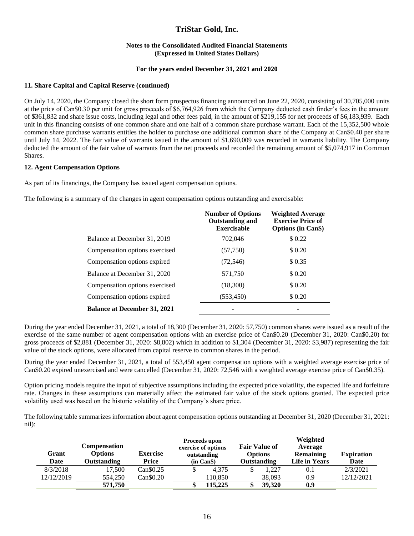#### **Notes to the Consolidated Audited Financial Statements (Expressed in United States Dollars)**

#### **For the years ended December 31, 2021 and 2020**

#### **11. Share Capital and Capital Reserve (continued)**

On July 14, 2020, the Company closed the short form prospectus financing announced on June 22, 2020, consisting of 30,705,000 units at the price of Can\$0.30 per unit for gross proceeds of \$6,764,926 from which the Company deducted cash finder's fees in the amount of \$361,832 and share issue costs, including legal and other fees paid, in the amount of \$219,155 for net proceeds of \$6,183,939. Each unit in this financing consists of one common share and one half of a common share purchase warrant. Each of the 15,352,500 whole common share purchase warrants entitles the holder to purchase one additional common share of the Company at Can\$0.40 per share until July 14, 2022. The fair value of warrants issued in the amount of \$1,690,009 was recorded in warrants liability. The Company deducted the amount of the fair value of warrants from the net proceeds and recorded the remaining amount of \$5,074,917 in Common Shares.

#### **12. Agent Compensation Options**

As part of its financings, the Company has issued agent compensation options.

The following is a summary of the changes in agent compensation options outstanding and exercisable:

|                                     | <b>Number of Options</b><br><b>Outstanding and</b><br><b>Exercisable</b> | <b>Weighted Average</b><br><b>Exercise Price of</b><br><b>Options (in Cans)</b> |
|-------------------------------------|--------------------------------------------------------------------------|---------------------------------------------------------------------------------|
| Balance at December 31, 2019        | 702,046                                                                  | \$0.22                                                                          |
| Compensation options exercised      | (57,750)                                                                 | \$0.20                                                                          |
| Compensation options expired        | (72, 546)                                                                | \$0.35                                                                          |
| Balance at December 31, 2020        | 571,750                                                                  | \$ 0.20                                                                         |
| Compensation options exercised      | (18,300)                                                                 | \$ 0.20                                                                         |
| Compensation options expired        | (553, 450)                                                               | \$ 0.20                                                                         |
| <b>Balance at December 31, 2021</b> |                                                                          |                                                                                 |

During the year ended December 31, 2021, a total of 18,300 (December 31, 2020: 57,750) common shares were issued as a result of the exercise of the same number of agent compensation options with an exercise price of Can\$0.20 (December 31, 2020: Can\$0.20) for gross proceeds of \$2,881 (December 31, 2020: \$8,802) which in addition to \$1,304 (December 31, 2020: \$3,987) representing the fair value of the stock options, were allocated from capital reserve to common shares in the period.

During the year ended December 31, 2021, a total of 553,450 agent compensation options with a weighted average exercise price of Can\$0.20 expired unexercised and were cancelled (December 31, 2020: 72,546 with a weighted average exercise price of Can\$0.35).

Option pricing models require the input of subjective assumptions including the expected price volatility, the expected life and forfeiture rate. Changes in these assumptions can materially affect the estimated fair value of the stock options granted. The expected price volatility used was based on the historic volatility of the Company's share price.

The following table summarizes information about agent compensation options outstanding at December 31, 2020 (December 31, 2021: nil):

| Grant<br>Date | Compensation<br><b>Options</b><br>Outstanding | <b>Exercise</b><br><b>Price</b> | Proceeds upon<br>exercise of options<br>outstanding<br>(in Can \$) |         | <b>Fair Value of</b><br><b>Options</b><br>Outstanding |        | Weighted<br>Average<br><b>Remaining</b><br>Life in Years | <b>Expiration</b><br>Date |
|---------------|-----------------------------------------------|---------------------------------|--------------------------------------------------------------------|---------|-------------------------------------------------------|--------|----------------------------------------------------------|---------------------------|
| 8/3/2018      | 17.500                                        | $Can \$0.25$                    |                                                                    | 4.375   |                                                       | 1.227  | 0.1                                                      | 2/3/2021                  |
| 12/12/2019    | 554,250                                       | Can\$0.20                       |                                                                    | 110.850 |                                                       | 38,093 | 0.9                                                      | 12/12/2021                |
|               | 571,750                                       |                                 |                                                                    | 115.225 |                                                       | 39.320 | 0.9                                                      |                           |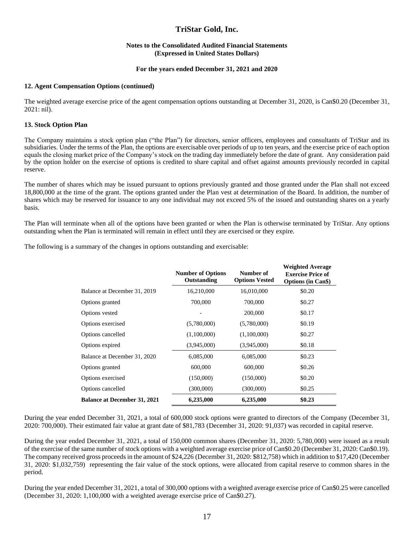#### **Notes to the Consolidated Audited Financial Statements (Expressed in United States Dollars)**

#### **For the years ended December 31, 2021 and 2020**

#### **12. Agent Compensation Options (continued)**

The weighted average exercise price of the agent compensation options outstanding at December 31, 2020, is Can\$0.20 (December 31, 2021: nil).

#### **13. Stock Option Plan**

The Company maintains a stock option plan ("the Plan") for directors, senior officers, employees and consultants of TriStar and its subsidiaries. Under the terms of the Plan, the options are exercisable over periods of up to ten years, and the exercise price of each option equals the closing market price of the Company's stock on the trading day immediately before the date of grant. Any consideration paid by the option holder on the exercise of options is credited to share capital and offset against amounts previously recorded in capital reserve.

The number of shares which may be issued pursuant to options previously granted and those granted under the Plan shall not exceed 18,800,000 at the time of the grant. The options granted under the Plan vest at determination of the Board. In addition, the number of shares which may be reserved for issuance to any one individual may not exceed 5% of the issued and outstanding shares on a yearly basis.

The Plan will terminate when all of the options have been granted or when the Plan is otherwise terminated by TriStar. Any options outstanding when the Plan is terminated will remain in effect until they are exercised or they expire.

The following is a summary of the changes in options outstanding and exercisable:

|                                     | <b>Number of Options</b><br>Outstanding | Number of<br><b>Options Vested</b> | <b>Weighted Average</b><br><b>Exercise Price of</b><br><b>Options (in Cans)</b> |
|-------------------------------------|-----------------------------------------|------------------------------------|---------------------------------------------------------------------------------|
| Balance at December 31, 2019        | 16,210,000                              | 16,010,000                         | \$0.20                                                                          |
| Options granted                     | 700,000                                 | 700,000                            | \$0.27                                                                          |
| Options vested                      |                                         | 200,000                            | \$0.17                                                                          |
| Options exercised                   | (5,780,000)                             | (5,780,000)                        | \$0.19                                                                          |
| Options cancelled                   | (1,100,000)                             | (1,100,000)                        | \$0.27                                                                          |
| Options expired                     | (3,945,000)                             | (3,945,000)                        | \$0.18                                                                          |
| Balance at December 31, 2020        | 6,085,000                               | 6,085,000                          | \$0.23                                                                          |
| Options granted                     | 600,000                                 | 600,000                            | \$0.26                                                                          |
| Options exercised                   | (150,000)                               | (150,000)                          | \$0.20                                                                          |
| Options cancelled                   | (300,000)                               | (300,000)                          | \$0.25                                                                          |
| <b>Balance at December 31, 2021</b> | 6,235,000                               | 6,235,000                          | \$0.23                                                                          |

During the year ended December 31, 2021, a total of 600,000 stock options were granted to directors of the Company (December 31, 2020: 700,000). Their estimated fair value at grant date of \$81,783 (December 31, 2020: 91,037) was recorded in capital reserve.

During the year ended December 31, 2021, a total of 150,000 common shares (December 31, 2020: 5,780,000) were issued as a result of the exercise of the same number of stock options with a weighted average exercise price of Can\$0.20 (December 31, 2020: Can\$0.19). The company received gross proceeds in the amount of \$24,226 (December 31, 2020: \$812,758) which in addition to \$17,420 (December 31, 2020: \$1,032,759) representing the fair value of the stock options, were allocated from capital reserve to common shares in the period.

During the year ended December 31, 2021, a total of 300,000 options with a weighted average exercise price of Can\$0.25 were cancelled (December 31, 2020: 1,100,000 with a weighted average exercise price of Can\$0.27).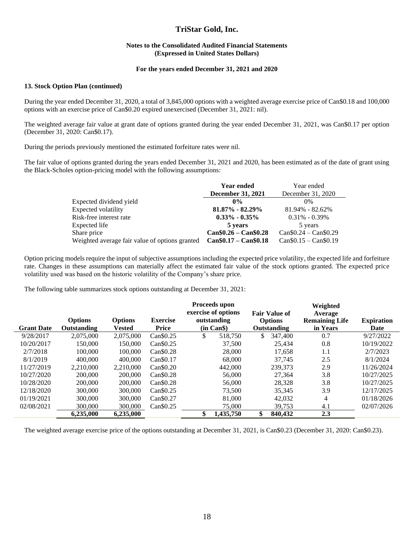#### **Notes to the Consolidated Audited Financial Statements (Expressed in United States Dollars)**

#### **For the years ended December 31, 2021 and 2020**

#### **13. Stock Option Plan (continued)**

During the year ended December 31, 2020, a total of 3,845,000 options with a weighted average exercise price of Can\$0.18 and 100,000 options with an exercise price of Can\$0.20 expired unexercised (December 31, 2021: nil).

The weighted average fair value at grant date of options granted during the year ended December 31, 2021, was Can\$0.17 per option (December 31, 2020: Can\$0.17).

During the periods previously mentioned the estimated forfeiture rates were nil.

The fair value of options granted during the years ended December 31, 2021 and 2020, has been estimated as of the date of grant using the Black-Scholes option-pricing model with the following assumptions:

|                                                | <b>Year ended</b>        | Year ended                |
|------------------------------------------------|--------------------------|---------------------------|
|                                                | <b>December 31, 2021</b> | December 31, 2020         |
| Expected dividend yield                        | $0\%$                    | $0\%$                     |
| Expected volatility                            | $81.87\% - 82.29\%$      | $81.94\% - 82.62\%$       |
| Risk-free interest rate                        | $0.33\% - 0.35\%$        | $0.31\% - 0.39\%$         |
| Expected life                                  | 5 years                  | 5 years                   |
| Share price                                    | $Can $0.26 - Can $0.28$  | $Can \$0.24 - Can \$0.29$ |
| Weighted average fair value of options granted | $Can $0.17 - Can $0.18$  | $Can $0.15 - Can $0.19$   |

Option pricing models require the input of subjective assumptions including the expected price volatility, the expected life and forfeiture rate. Changes in these assumptions can materially affect the estimated fair value of the stock options granted. The expected price volatility used was based on the historic volatility of the Company's share price.

The following table summarizes stock options outstanding at December 31, 2021:

| <b>Grant Date</b> | <b>Options</b><br>Outstanding | <b>Options</b><br><b>Vested</b> | <b>Exercise</b><br>Price | Proceeds upon<br>exercise of options<br>outstanding<br>(in Can \$) | <b>Fair Value of</b><br><b>Options</b><br>Outstanding | Weighted<br>Average<br><b>Remaining Life</b><br>in Years | <b>Expiration</b><br>Date |
|-------------------|-------------------------------|---------------------------------|--------------------------|--------------------------------------------------------------------|-------------------------------------------------------|----------------------------------------------------------|---------------------------|
| 9/28/2017         | 2.075.000                     | 2,075,000                       | Can \$0.25               | 518.750<br>\$                                                      | 347,400<br>S.                                         | 0.7                                                      | 9/27/2022                 |
| 10/20/2017        | 150,000                       | 150.000                         | Can \$0.25               | 37,500                                                             | 25.434                                                | 0.8                                                      | 10/19/2022                |
| 2/7/2018          | 100,000                       | 100,000                         | Can \$0.28               | 28,000                                                             | 17.658                                                | 1.1                                                      | 2/7/2023                  |
| 8/1/2019          | 400,000                       | 400,000                         | Can <sub>\$0.17</sub>    | 68,000                                                             | 37.745                                                | 2.5                                                      | 8/1/2024                  |
| 11/27/2019        | 2.210.000                     | 2.210.000                       | Can \$0.20               | 442,000                                                            | 239.373                                               | 2.9                                                      | 11/26/2024                |
| 10/27/2020        | 200,000                       | 200,000                         | Can \$0.28               | 56,000                                                             | 27,364                                                | 3.8                                                      | 10/27/2025                |
| 10/28/2020        | 200,000                       | 200,000                         | Can \$0.28               | 56,000                                                             | 28.328                                                | 3.8                                                      | 10/27/2025                |
| 12/18/2020        | 300,000                       | 300,000                         | $Can \$0.25$             | 73,500                                                             | 35.345                                                | 3.9                                                      | 12/17/2025                |
| 01/19/2021        | 300,000                       | 300,000                         | Can <sub>\$0.27</sub>    | 81,000                                                             | 42,032                                                | 4                                                        | 01/18/2026                |
| 02/08/2021        | 300,000                       | 300,000                         | $Can \$0.25$             | 75,000                                                             | 39.753                                                | 4.1                                                      | 02/07/2026                |
|                   | 6.235,000                     | 6,235,000                       |                          | 1.435.750                                                          | 840,432                                               | 2.3                                                      |                           |

The weighted average exercise price of the options outstanding at December 31, 2021, is Can\$0.23 (December 31, 2020: Can\$0.23).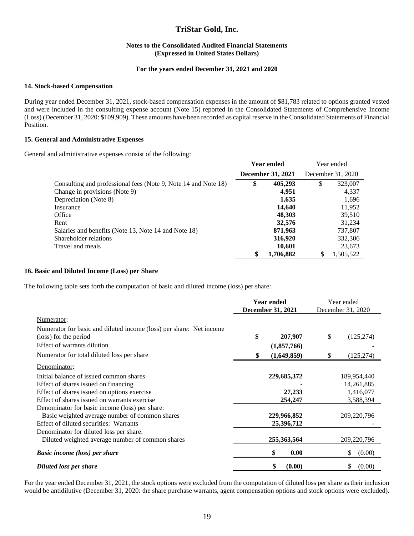#### **Notes to the Consolidated Audited Financial Statements (Expressed in United States Dollars)**

#### **For the years ended December 31, 2021 and 2020**

#### **14. Stock-based Compensation**

During year ended December 31, 2021, stock-based compensation expenses in the amount of \$81,783 related to options granted vested and were included in the consulting expense account (Note 15) reported in the Consolidated Statements of Comprehensive Income (Loss) (December 31, 2020: \$109,909). These amounts have been recorded as capital reserve in the Consolidated Statements of Financial Position.

#### **15. General and Administrative Expenses**

General and administrative expenses consist of the following:

|                                                                | <b>Year ended</b> |                          | Year ended |                   |
|----------------------------------------------------------------|-------------------|--------------------------|------------|-------------------|
|                                                                |                   | <b>December 31, 2021</b> |            | December 31, 2020 |
| Consulting and professional fees (Note 9, Note 14 and Note 18) | \$                | 405,293                  | \$         | 323,007           |
| Change in provisions (Note 9)                                  |                   | 4,951                    |            | 4,337             |
| Depreciation (Note 8)                                          |                   | 1,635                    |            | 1,696             |
| Insurance                                                      |                   | 14,640                   |            | 11,952            |
| Office                                                         |                   | 48,303                   |            | 39,510            |
| Rent                                                           |                   | 32,576                   |            | 31,234            |
| Salaries and benefits (Note 13, Note 14 and Note 18)           |                   | 871,963                  |            | 737,807           |
| Shareholder relations                                          |                   | 316,920                  |            | 332,306           |
| Travel and meals                                               |                   | 10.601                   |            | 23,673            |
|                                                                |                   | 1.706.882                |            | 1.505.522         |

#### **16. Basic and Diluted Income (Loss) per Share**

The following table sets forth the computation of basic and diluted income (loss) per share:

|                                                                                              | <b>Year ended</b><br><b>December 31, 2021</b> |             | Year ended<br>December 31, 2020 |              |
|----------------------------------------------------------------------------------------------|-----------------------------------------------|-------------|---------------------------------|--------------|
| Numerator:                                                                                   |                                               |             |                                 |              |
| Numerator for basic and diluted income (loss) per share: Net income<br>(loss) for the period | \$                                            | 207,907     | \$                              | (125, 274)   |
| Effect of warrants dilution                                                                  |                                               | (1,857,766) |                                 |              |
| Numerator for total diluted loss per share                                                   |                                               | (1,649,859) | \$                              | (125, 274)   |
| Denominator:                                                                                 |                                               |             |                                 |              |
| Initial balance of issued common shares                                                      |                                               | 229,685,372 |                                 | 189,954,440  |
| Effect of shares issued on financing                                                         |                                               |             |                                 | 14,261,885   |
| Effect of shares issued on options exercise                                                  |                                               | 27,233      |                                 | 1,416,077    |
| Effect of shares issued on warrants exercise                                                 |                                               | 254,247     |                                 | 3,588,394    |
| Denominator for basic income (loss) per share:                                               |                                               |             |                                 |              |
| Basic weighted average number of common shares                                               |                                               | 229,966,852 |                                 | 209,220,796  |
| Effect of diluted securities: Warrants                                                       |                                               | 25,396,712  |                                 |              |
| Denominator for diluted loss per share:                                                      |                                               |             |                                 |              |
| Diluted weighted average number of common shares                                             |                                               | 255,363,564 |                                 | 209,220,796  |
| <b>Basic income (loss) per share</b>                                                         |                                               | \$<br>0.00  |                                 | \$<br>(0.00) |
| Diluted loss per share                                                                       |                                               | (0.00)      |                                 | (0.00)<br>\$ |

For the year ended December 31, 2021, the stock options were excluded from the computation of diluted loss per share as their inclusion would be antidilutive (December 31, 2020: the share purchase warrants, agent compensation options and stock options were excluded).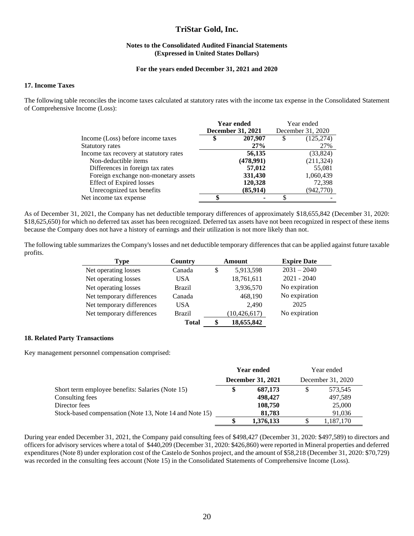#### **Notes to the Consolidated Audited Financial Statements (Expressed in United States Dollars)**

#### **For the years ended December 31, 2021 and 2020**

#### **17. Income Taxes**

The following table reconciles the income taxes calculated at statutory rates with the income tax expense in the Consolidated Statement of Comprehensive Income (Loss):

| <b>Year ended</b>                      |  | Year ended               |                   |            |
|----------------------------------------|--|--------------------------|-------------------|------------|
|                                        |  | <b>December 31, 2021</b> | December 31, 2020 |            |
| Income (Loss) before income taxes      |  | 207,907                  | S                 | (125, 274) |
| Statutory rates                        |  | 27%                      |                   | 27%        |
| Income tax recovery at statutory rates |  | 56,135                   |                   | (33,824)   |
| Non-deductible items                   |  | (478,991)                |                   | (211, 324) |
| Differences in foreign tax rates       |  | 57,012                   |                   | 55,081     |
| Foreign exchange non-monetary assets   |  | 331,430                  |                   | 1,060,439  |
| <b>Effect of Expired losses</b>        |  | 120,328                  |                   | 72,398     |
| Unrecognized tax benefits              |  | (85,914)                 |                   | (942, 770) |
| Net income tax expense                 |  |                          |                   |            |

As of December 31, 2021, the Company has net deductible temporary differences of approximately \$18,655,842 (December 31, 2020: \$18,625,650) for which no deferred tax asset has been recognized. Deferred tax assets have not been recognized in respect of these items because the Company does not have a history of earnings and their utilization is not more likely than not.

The following table summarizes the Company's losses and net deductible temporary differences that can be applied against future taxable profits.

| <b>Type</b>               | Country       |   | Amount         | <b>Expire Date</b> |
|---------------------------|---------------|---|----------------|--------------------|
| Net operating losses      | Canada        | S | 5,913,598      | $2031 - 2040$      |
| Net operating losses      | <b>USA</b>    |   | 18,761,611     | $2021 - 2040$      |
| Net operating losses      | <b>Brazil</b> |   | 3,936,570      | No expiration      |
| Net temporary differences | Canada        |   | 468,190        | No expiration      |
| Net temporary differences | <b>USA</b>    |   | 2,490          | 2025               |
| Net temporary differences | <b>Brazil</b> |   | (10, 426, 617) | No expiration      |
|                           | <b>Total</b>  | S | 18,655,842     |                    |

#### **18. Related Party Transactions**

Key management personnel compensation comprised:

|                                                         | <b>Year ended</b>        |           | Year ended |                   |
|---------------------------------------------------------|--------------------------|-----------|------------|-------------------|
|                                                         | <b>December 31, 2021</b> |           |            | December 31, 2020 |
| Short term employee benefits: Salaries (Note 15)        |                          | 687,173   |            | 573,545           |
| Consulting fees                                         |                          | 498,427   |            | 497.589           |
| Director fees                                           |                          | 108,750   |            | 25,000            |
| Stock-based compensation (Note 13, Note 14 and Note 15) |                          | 81,783    |            | 91,036            |
|                                                         |                          | 1,376,133 |            | 1,187,170         |

During year ended December 31, 2021, the Company paid consulting fees of \$498,427 (December 31, 2020: \$497,589) to directors and officers for advisory services where a total of \$440,209 (December 31, 2020: \$426,860) were reported in Mineral properties and deferred expenditures (Note 8) under exploration cost of the Castelo de Sonhos project, and the amount of \$58,218 (December 31, 2020: \$70,729) was recorded in the consulting fees account (Note 15) in the Consolidated Statements of Comprehensive Income (Loss).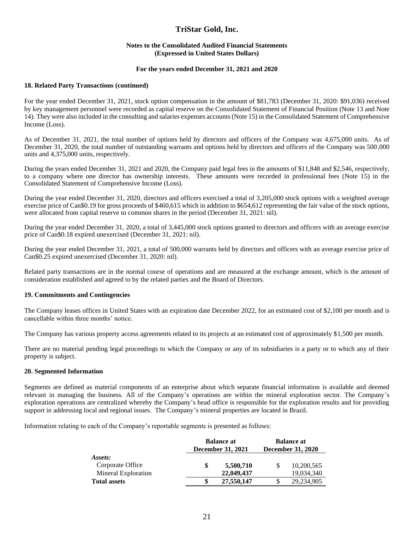#### **Notes to the Consolidated Audited Financial Statements (Expressed in United States Dollars)**

#### **For the years ended December 31, 2021 and 2020**

#### **18. Related Party Transactions (continued)**

For the year ended December 31, 2021, stock option compensation in the amount of \$81,783 (December 31, 2020: \$91,036) received by key management personnel were recorded as capital reserve on the Consolidated Statement of Financial Position (Note 13 and Note 14). They were also included in the consulting and salaries expenses accounts (Note 15) in the Consolidated Statement of Comprehensive Income (Loss).

As of December 31, 2021, the total number of options held by directors and officers of the Company was 4,675,000 units. As of December 31, 2020, the total number of outstanding warrants and options held by directors and officers of the Company was 500,000 units and 4,375,000 units, respectively.

During the years ended December 31, 2021 and 2020, the Company paid legal fees in the amounts of \$11,848 and \$2,546, respectively, to a company where one director has ownership interests. These amounts were recorded in professional fees (Note 15) in the Consolidated Statement of Comprehensive Income (Loss).

During the year ended December 31, 2020, directors and officers exercised a total of 3,205,000 stock options with a weighted average exercise price of Can\$0.19 for gross proceeds of \$460,615 which in addition to \$654,612 representing the fair value of the stock options, were allocated from capital reserve to common shares in the period (December 31, 2021: nil).

During the year ended December 31, 2020, a total of 3,445,000 stock options granted to directors and officers with an average exercise price of Can\$0.18 expired unexercised (December 31, 2021: nil).

During the year ended December 31, 2021, a total of 500,000 warrants held by directors and officers with an average exercise price of Can\$0.25 expired unexercised (December 31, 2020: nil).

Related party transactions are in the normal course of operations and are measured at the exchange amount, which is the amount of consideration established and agreed to by the related parties and the Board of Directors.

#### **19. Commitments and Contingencies**

The Company leases offices in United States with an expiration date December 2022, for an estimated cost of \$2,100 per month and is cancellable within three months' notice.

The Company has various property access agreements related to its projects at an estimated cost of approximately \$1,500 per month.

There are no material pending legal proceedings to which the Company or any of its subsidiaries is a party or to which any of their property is subject.

#### **20. Segmented Information**

Segments are defined as material components of an enterprise about which separate financial information is available and deemed relevant in managing the business. All of the Company's operations are within the mineral exploration sector. The Company's exploration operations are centralized whereby the Company's head office is responsible for the exploration results and for providing support in addressing local and regional issues. The Company's mineral properties are located in Brazil.

Information relating to each of the Company's reportable segments is presented as follows:

|                     | <b>Balance at</b> | <b>Balance at</b>        |            |  |  |
|---------------------|-------------------|--------------------------|------------|--|--|
|                     | December 31, 2021 | <b>December 31, 2020</b> |            |  |  |
| Assets:             |                   |                          |            |  |  |
| Corporate Office    | 5,500,710         | S                        | 10,200,565 |  |  |
| Mineral Exploration | 22,049,437        |                          | 19.034.340 |  |  |
| <b>Total assets</b> | 27,550,147        | S                        | 29.234.905 |  |  |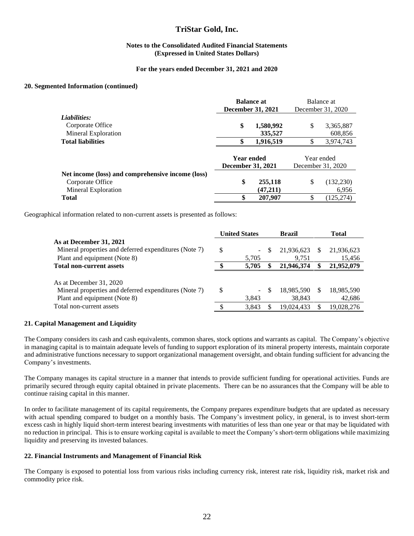#### **Notes to the Consolidated Audited Financial Statements (Expressed in United States Dollars)**

#### **For the years ended December 31, 2021 and 2020**

#### **20. Segmented Information (continued)**

|                                                   | <b>Balance at</b> |                   | Balance at        |            |  |
|---------------------------------------------------|-------------------|-------------------|-------------------|------------|--|
|                                                   |                   | December 31, 2021 | December 31, 2020 |            |  |
| Liabilities:                                      |                   |                   |                   |            |  |
| Corporate Office                                  | \$                | 1,580,992         | \$                | 3,365,887  |  |
| Mineral Exploration                               |                   | 335,527           |                   | 608,856    |  |
| <b>Total liabilities</b>                          | ¢<br>1,916,519    |                   |                   | 3,974,743  |  |
|                                                   |                   |                   |                   |            |  |
|                                                   | <b>Year ended</b> |                   | Year ended        |            |  |
|                                                   | December 31, 2021 |                   | December 31, 2020 |            |  |
| Net income (loss) and comprehensive income (loss) |                   |                   |                   |            |  |
| Corporate Office                                  | \$                | 255,118           | \$                | (132, 230) |  |
| Mineral Exploration                               |                   | (47,211)          |                   | 6,956      |  |
| <b>Total</b>                                      | \$                | 207,907           | \$                | (125, 274) |  |

Geographical information related to non-current assets is presented as follows:

|                                                       | <b>United States</b> |        | <b>Brazil</b> |            | <b>Total</b> |            |
|-------------------------------------------------------|----------------------|--------|---------------|------------|--------------|------------|
| As at December 31, 2021                               |                      |        |               |            |              |            |
| Mineral properties and deferred expenditures (Note 7) | \$                   | $\sim$ | S             | 21,936,623 | S            | 21,936,623 |
| Plant and equipment (Note 8)                          |                      | 5,705  |               | 9.751      |              | 15,456     |
| <b>Total non-current assets</b>                       |                      | 5.705  |               | 21,946,374 |              | 21,952,079 |
|                                                       |                      |        |               |            |              |            |
| As at December 31, 2020                               |                      |        |               |            |              |            |
| Mineral properties and deferred expenditures (Note 7) | \$                   | $\sim$ | S             | 18,985,590 | S            | 18,985,590 |
| Plant and equipment (Note 8)                          |                      | 3,843  |               | 38,843     |              | 42,686     |
| Total non-current assets                              |                      | 3,843  |               | 19,024,433 |              | 19,028,276 |

#### **21. Capital Management and Liquidity**

The Company considers its cash and cash equivalents, common shares, stock options and warrants as capital. The Company's objective in managing capital is to maintain adequate levels of funding to support exploration of its mineral property interests, maintain corporate and administrative functions necessary to support organizational management oversight, and obtain funding sufficient for advancing the Company's investments.

The Company manages its capital structure in a manner that intends to provide sufficient funding for operational activities. Funds are primarily secured through equity capital obtained in private placements. There can be no assurances that the Company will be able to continue raising capital in this manner.

In order to facilitate management of its capital requirements, the Company prepares expenditure budgets that are updated as necessary with actual spending compared to budget on a monthly basis. The Company's investment policy, in general, is to invest short-term excess cash in highly liquid short-term interest bearing investments with maturities of less than one year or that may be liquidated with no reduction in principal. This is to ensure working capital is available to meet the Company's short-term obligations while maximizing liquidity and preserving its invested balances.

#### **22. Financial Instruments and Management of Financial Risk**

The Company is exposed to potential loss from various risks including currency risk, interest rate risk, liquidity risk, market risk and commodity price risk.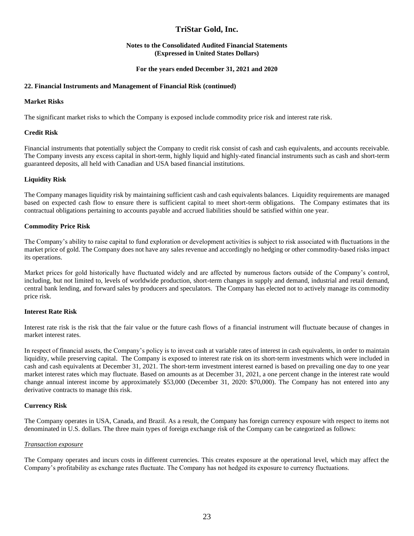#### **Notes to the Consolidated Audited Financial Statements (Expressed in United States Dollars)**

#### **For the years ended December 31, 2021 and 2020**

#### **22. Financial Instruments and Management of Financial Risk (continued)**

#### **Market Risks**

The significant market risks to which the Company is exposed include commodity price risk and interest rate risk.

#### **Credit Risk**

Financial instruments that potentially subject the Company to credit risk consist of cash and cash equivalents, and accounts receivable. The Company invests any excess capital in short-term, highly liquid and highly-rated financial instruments such as cash and short-term guaranteed deposits, all held with Canadian and USA based financial institutions.

#### **Liquidity Risk**

The Company manages liquidity risk by maintaining sufficient cash and cash equivalents balances. Liquidity requirements are managed based on expected cash flow to ensure there is sufficient capital to meet short-term obligations. The Company estimates that its contractual obligations pertaining to accounts payable and accrued liabilities should be satisfied within one year.

#### **Commodity Price Risk**

The Company's ability to raise capital to fund exploration or development activities is subject to risk associated with fluctuations in the market price of gold. The Company does not have any sales revenue and accordingly no hedging or other commodity-based risks impact its operations.

Market prices for gold historically have fluctuated widely and are affected by numerous factors outside of the Company's control, including, but not limited to, levels of worldwide production, short-term changes in supply and demand, industrial and retail demand, central bank lending, and forward sales by producers and speculators. The Company has elected not to actively manage its commodity price risk.

#### **Interest Rate Risk**

Interest rate risk is the risk that the fair value or the future cash flows of a financial instrument will fluctuate because of changes in market interest rates.

In respect of financial assets, the Company's policy is to invest cash at variable rates of interest in cash equivalents, in order to maintain liquidity, while preserving capital. The Company is exposed to interest rate risk on its short‐term investments which were included in cash and cash equivalents at December 31, 2021. The short-term investment interest earned is based on prevailing one day to one year market interest rates which may fluctuate. Based on amounts as at December 31, 2021, a one percent change in the interest rate would change annual interest income by approximately \$53,000 (December 31, 2020: \$70,000). The Company has not entered into any derivative contracts to manage this risk.

#### **Currency Risk**

The Company operates in USA, Canada, and Brazil. As a result, the Company has foreign currency exposure with respect to items not denominated in U.S. dollars. The three main types of foreign exchange risk of the Company can be categorized as follows:

#### *Transaction exposure*

The Company operates and incurs costs in different currencies. This creates exposure at the operational level, which may affect the Company's profitability as exchange rates fluctuate. The Company has not hedged its exposure to currency fluctuations.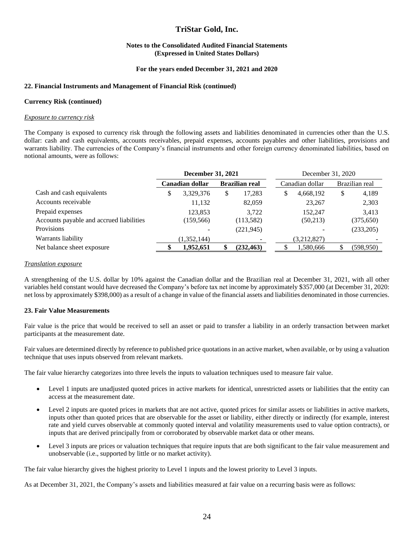#### **Notes to the Consolidated Audited Financial Statements (Expressed in United States Dollars)**

#### **For the years ended December 31, 2021 and 2020**

#### **22. Financial Instruments and Management of Financial Risk (continued)**

#### **Currency Risk (continued)**

#### *Exposure to currency risk*

The Company is exposed to currency risk through the following assets and liabilities denominated in currencies other than the U.S. dollar: cash and cash equivalents, accounts receivables, prepaid expenses, accounts payables and other liabilities, provisions and warrants liability. The currencies of the Company's financial instruments and other foreign currency denominated liabilities, based on notional amounts, were as follows:

|                                          | <b>December 31, 2021</b> |                                          |   | December 31, 2020 |                 |             |                |            |
|------------------------------------------|--------------------------|------------------------------------------|---|-------------------|-----------------|-------------|----------------|------------|
|                                          |                          | Canadian dollar<br><b>Brazilian real</b> |   |                   | Canadian dollar |             | Brazilian real |            |
| Cash and cash equivalents                | \$                       | 3,329,376                                | S | 17,283            | \$              | 4,668,192   | \$             | 4,189      |
| Accounts receivable                      |                          | 11,132                                   |   | 82,059            |                 | 23,267      |                | 2,303      |
| Prepaid expenses                         |                          | 123,853                                  |   | 3.722             |                 | 152,247     |                | 3,413      |
| Accounts payable and accrued liabilities |                          | (159, 566)                               |   | (113,582)         |                 | (50,213)    |                | (375, 650) |
| Provisions                               |                          |                                          |   | (221, 945)        |                 |             |                | (233,205)  |
| Warrants liability                       |                          | (1,352,144)                              |   |                   |                 | (3,212,827) |                |            |
| Net balance sheet exposure               |                          | 1,952,651                                |   | (232, 463)        |                 | 1,580,666   |                | (598, 950) |

#### *Translation exposure*

A strengthening of the U.S. dollar by 10% against the Canadian dollar and the Brazilian real at December 31, 2021, with all other variables held constant would have decreased the Company's before tax net income by approximately \$357,000 (at December 31, 2020: net loss by approximately \$398,000) as a result of a change in value of the financial assets and liabilities denominated in those currencies.

#### **23. Fair Value Measurements**

Fair value is the price that would be received to sell an asset or paid to transfer a liability in an orderly transaction between market participants at the measurement date.

Fair values are determined directly by reference to published price quotations in an active market, when available, or by using a valuation technique that uses inputs observed from relevant markets.

The fair value hierarchy categorizes into three levels the inputs to valuation techniques used to measure fair value.

- Level 1 inputs are unadjusted quoted prices in active markets for identical, unrestricted assets or liabilities that the entity can access at the measurement date.
- Level 2 inputs are quoted prices in markets that are not active, quoted prices for similar assets or liabilities in active markets, inputs other than quoted prices that are observable for the asset or liability, either directly or indirectly (for example, interest rate and yield curves observable at commonly quoted interval and volatility measurements used to value option contracts), or inputs that are derived principally from or corroborated by observable market data or other means.
- Level 3 inputs are prices or valuation techniques that require inputs that are both significant to the fair value measurement and unobservable (i.e., supported by little or no market activity).

The fair value hierarchy gives the highest priority to Level 1 inputs and the lowest priority to Level 3 inputs.

As at December 31, 2021, the Company's assets and liabilities measured at fair value on a recurring basis were as follows: